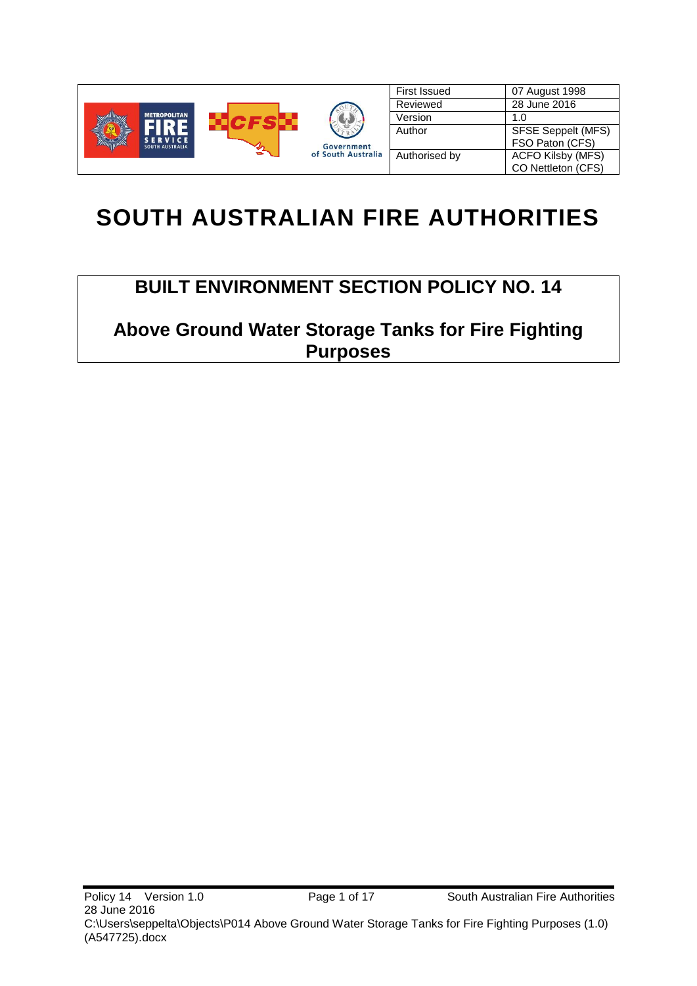

# **SOUTH AUSTRALIAN FIRE AUTHORITIES**

# **BUILT ENVIRONMENT SECTION POLICY NO. 14**

**Above Ground Water Storage Tanks for Fire Fighting Purposes**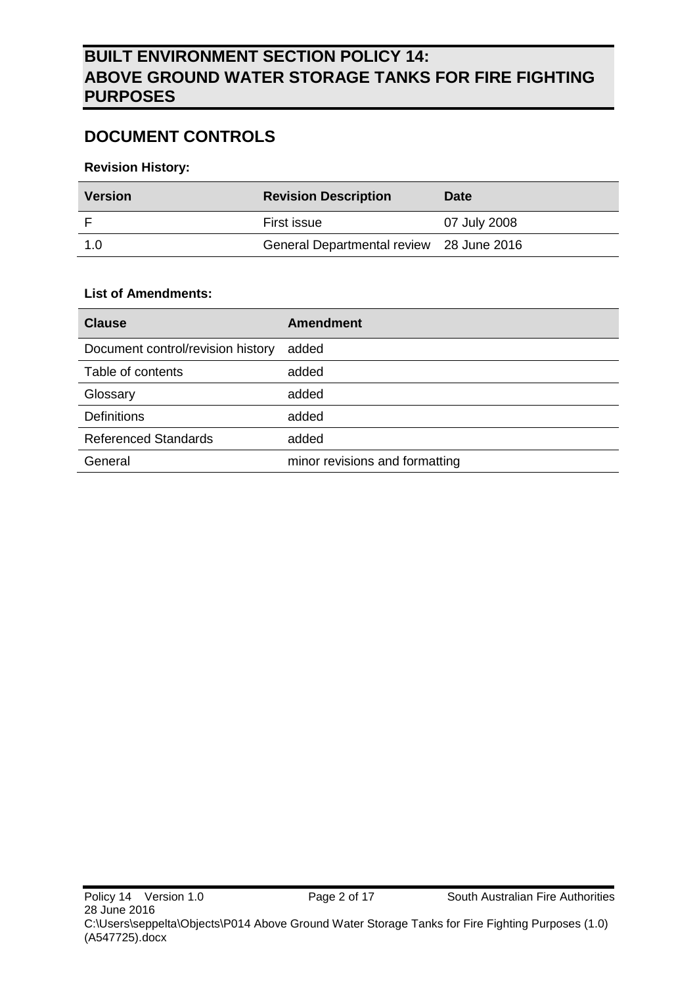# **DOCUMENT CONTROLS**

#### **Revision History:**

| <b>Version</b> | <b>Revision Description</b>              | <b>Date</b>  |  |
|----------------|------------------------------------------|--------------|--|
|                | First issue                              | 07 July 2008 |  |
| 1.0            | General Departmental review 28 June 2016 |              |  |

#### **List of Amendments:**

| <b>Clause</b>                     | <b>Amendment</b>               |
|-----------------------------------|--------------------------------|
| Document control/revision history | added                          |
| Table of contents                 | added                          |
| Glossary                          | added                          |
| <b>Definitions</b>                | added                          |
| <b>Referenced Standards</b>       | added                          |
| General                           | minor revisions and formatting |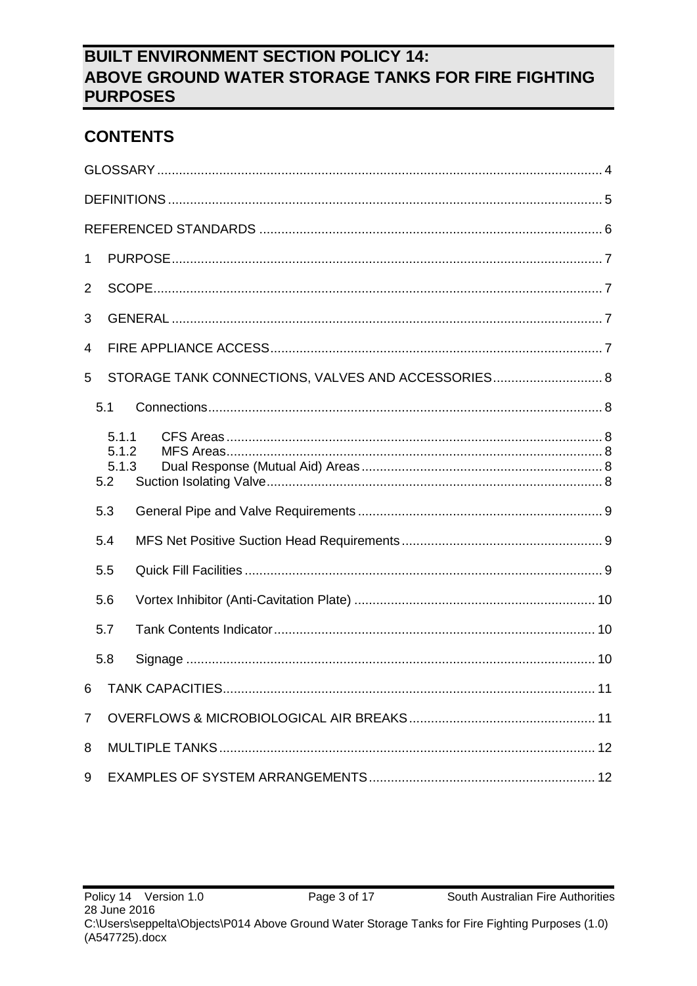# **CONTENTS**

| 1              |                                |                                                    |  |
|----------------|--------------------------------|----------------------------------------------------|--|
| $\overline{2}$ |                                |                                                    |  |
| 3              |                                |                                                    |  |
| 4              |                                |                                                    |  |
| 5              |                                | STORAGE TANK CONNECTIONS, VALVES AND ACCESSORIES 8 |  |
|                | 5.1                            |                                                    |  |
|                | 5.1.1<br>5.1.2<br>5.1.3<br>5.2 |                                                    |  |
|                | 5.3                            |                                                    |  |
|                | 5.4                            |                                                    |  |
|                | 5.5                            |                                                    |  |
|                | 5.6                            |                                                    |  |
|                | 5.7                            |                                                    |  |
|                | 5.8                            |                                                    |  |
| 6              |                                |                                                    |  |
| $\overline{7}$ |                                |                                                    |  |
| 8              |                                |                                                    |  |
| 9              |                                |                                                    |  |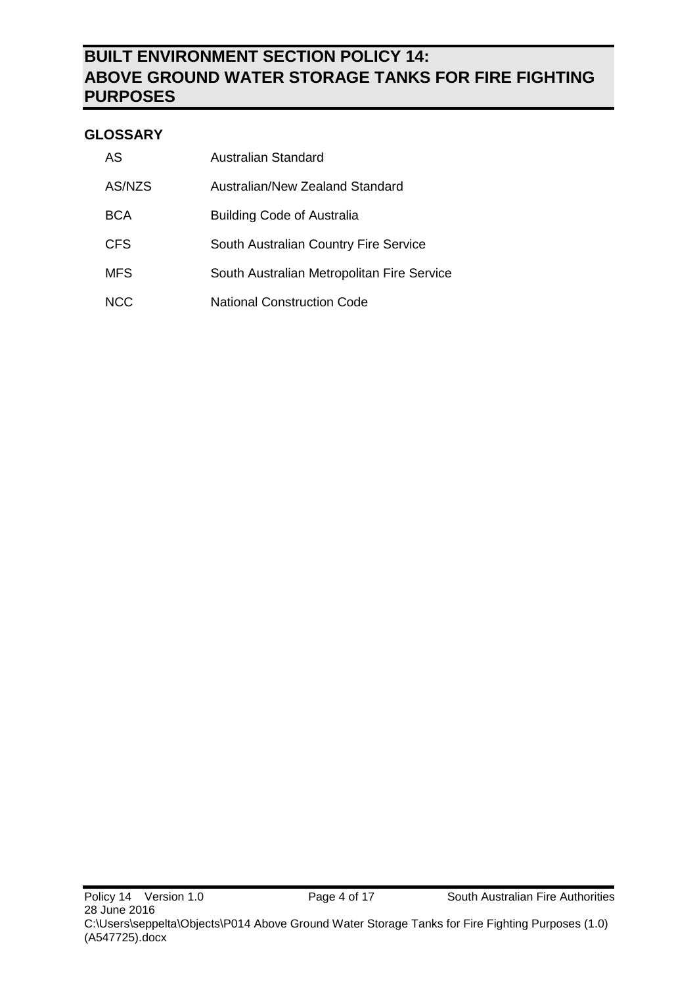### <span id="page-3-0"></span>**GLOSSARY**

| AS         | Australian Standard                        |
|------------|--------------------------------------------|
| AS/NZS     | Australian/New Zealand Standard            |
| BCA        | <b>Building Code of Australia</b>          |
| <b>CFS</b> | South Australian Country Fire Service      |
| <b>MFS</b> | South Australian Metropolitan Fire Service |
| NCC.       | <b>National Construction Code</b>          |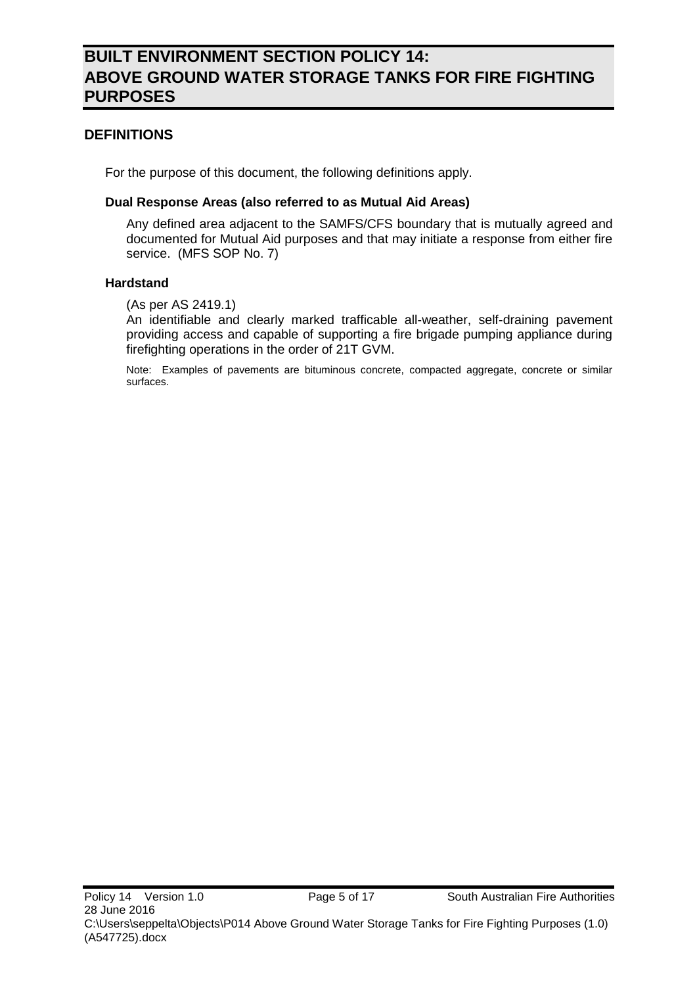### <span id="page-4-0"></span>**DEFINITIONS**

For the purpose of this document, the following definitions apply.

#### **Dual Response Areas (also referred to as Mutual Aid Areas)**

Any defined area adjacent to the SAMFS/CFS boundary that is mutually agreed and documented for Mutual Aid purposes and that may initiate a response from either fire service. (MFS SOP No. 7)

#### **Hardstand**

(As per AS 2419.1)

An identifiable and clearly marked trafficable all-weather, self-draining pavement providing access and capable of supporting a fire brigade pumping appliance during firefighting operations in the order of 21T GVM.

Note: Examples of pavements are bituminous concrete, compacted aggregate, concrete or similar surfaces.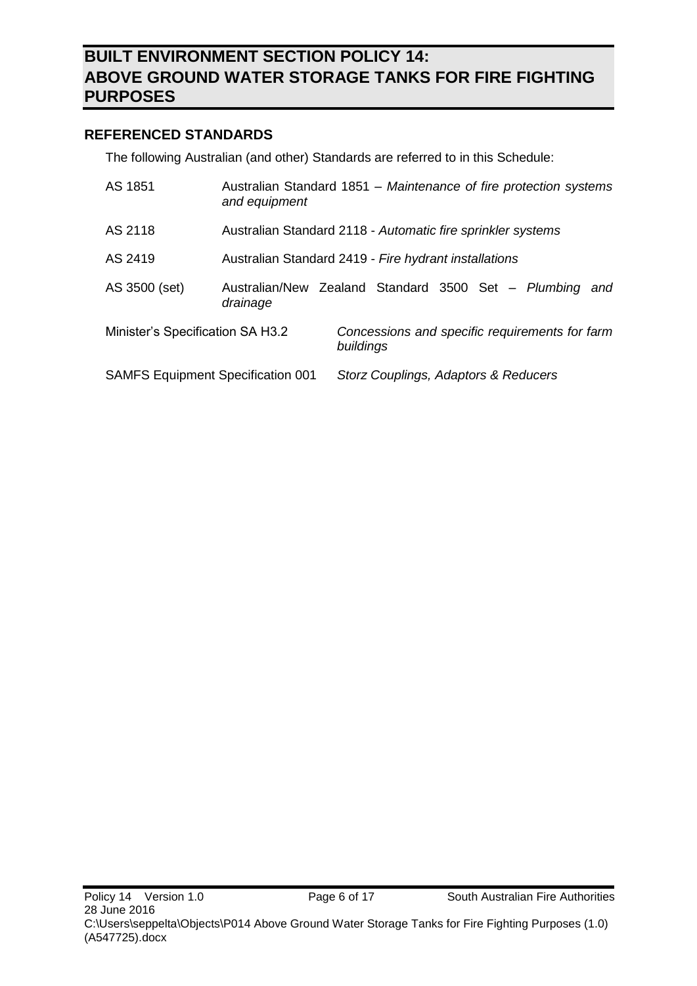### <span id="page-5-0"></span>**REFERENCED STANDARDS**

The following Australian (and other) Standards are referred to in this Schedule:

| AS 1851                                  | Australian Standard 1851 – Maintenance of fire protection systems<br>and equipment |                                                             |                                      |  |  |     |
|------------------------------------------|------------------------------------------------------------------------------------|-------------------------------------------------------------|--------------------------------------|--|--|-----|
| AS 2118                                  | Australian Standard 2118 - Automatic fire sprinkler systems                        |                                                             |                                      |  |  |     |
| AS 2419                                  | Australian Standard 2419 - Fire hydrant installations                              |                                                             |                                      |  |  |     |
| AS 3500 (set)                            | Australian/New Zealand Standard 3500 Set - Plumbing<br>drainage                    |                                                             |                                      |  |  | and |
| Minister's Specification SA H3.2         |                                                                                    | Concessions and specific requirements for farm<br>buildings |                                      |  |  |     |
| <b>SAMFS Equipment Specification 001</b> |                                                                                    |                                                             | Storz Couplings, Adaptors & Reducers |  |  |     |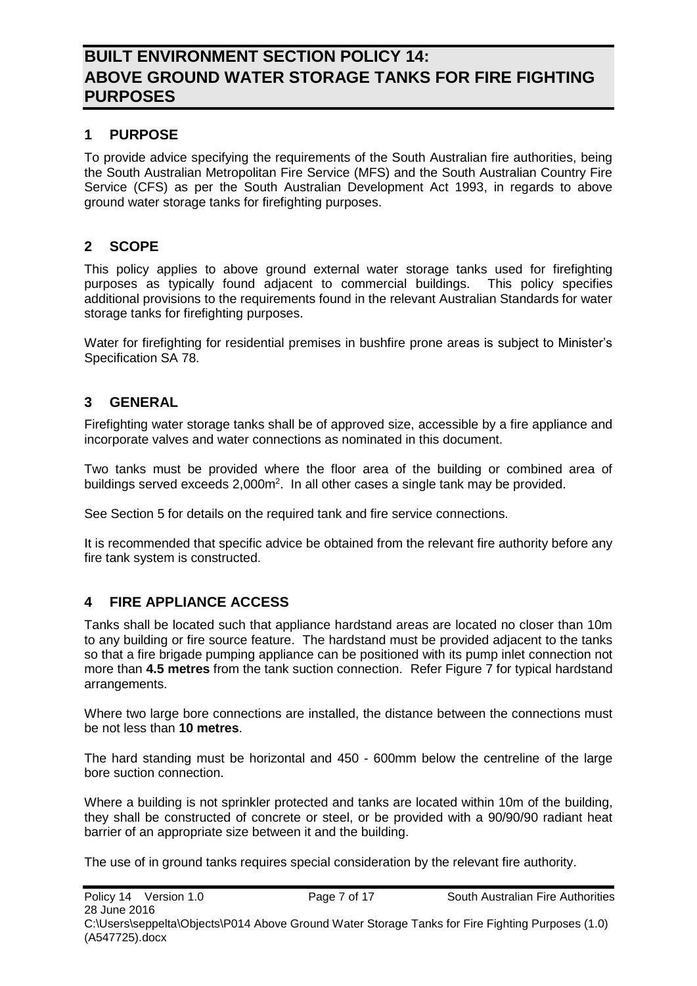### <span id="page-6-0"></span>**1 PURPOSE**

To provide advice specifying the requirements of the South Australian fire authorities, being the South Australian Metropolitan Fire Service (MFS) and the South Australian Country Fire Service (CFS) as per the South Australian Development Act 1993, in regards to above ground water storage tanks for firefighting purposes.

### <span id="page-6-1"></span>**2 SCOPE**

This policy applies to above ground external water storage tanks used for firefighting purposes as typically found adjacent to commercial buildings. This policy specifies additional provisions to the requirements found in the relevant Australian Standards for water storage tanks for firefighting purposes.

Water for firefighting for residential premises in bushfire prone areas is subject to Minister's Specification SA 78.

### <span id="page-6-2"></span>**3 GENERAL**

Firefighting water storage tanks shall be of approved size, accessible by a fire appliance and incorporate valves and water connections as nominated in this document.

Two tanks must be provided where the floor area of the building or combined area of buildings served exceeds 2,000m<sup>2</sup>. In all other cases a single tank may be provided.

See Section [5](#page-7-0) for details on the required tank and fire service connections.

It is recommended that specific advice be obtained from the relevant fire authority before any fire tank system is constructed.

### <span id="page-6-3"></span>**4 FIRE APPLIANCE ACCESS**

Tanks shall be located such that appliance hardstand areas are located no closer than 10m to any building or fire source feature. The hardstand must be provided adjacent to the tanks so that a fire brigade pumping appliance can be positioned with its pump inlet connection not more than **4.5 metres** from the tank suction connection. Refer [Figure 7](#page-16-0) for typical hardstand arrangements.

Where two large bore connections are installed, the distance between the connections must be not less than **10 metres**.

The hard standing must be horizontal and 450 - 600mm below the centreline of the large bore suction connection.

Where a building is not sprinkler protected and tanks are located within 10m of the building, they shall be constructed of concrete or steel, or be provided with a 90/90/90 radiant heat barrier of an appropriate size between it and the building.

The use of in ground tanks requires special consideration by the relevant fire authority.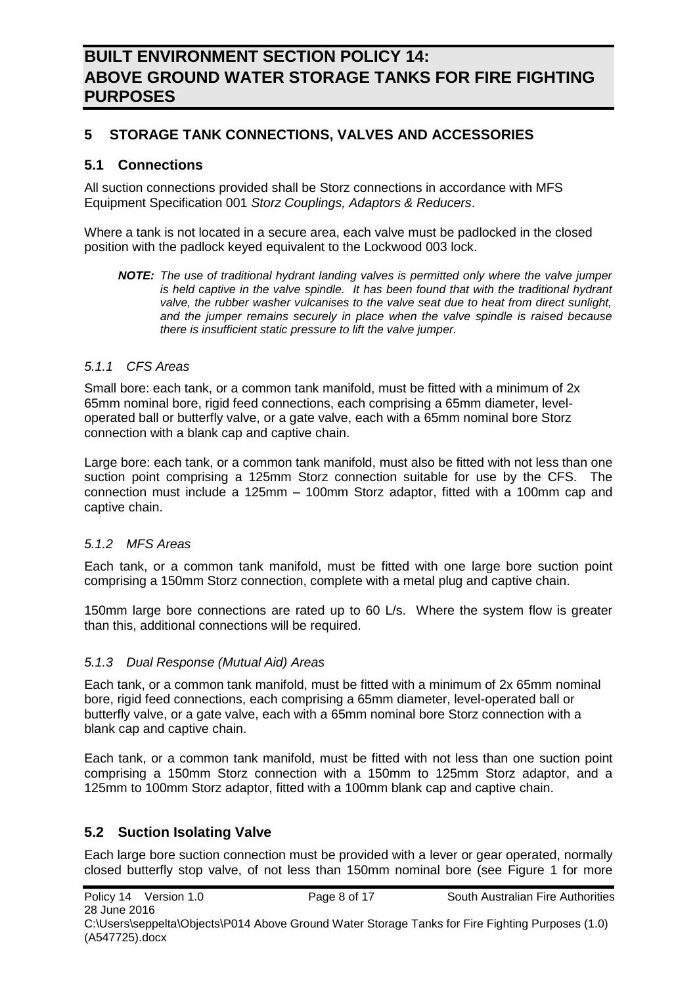### <span id="page-7-0"></span>**5 STORAGE TANK CONNECTIONS, VALVES AND ACCESSORIES**

### <span id="page-7-1"></span>**5.1 Connections**

All suction connections provided shall be Storz connections in accordance with MFS Equipment Specification 001 *Storz Couplings, Adaptors & Reducers*.

Where a tank is not located in a secure area, each valve must be padlocked in the closed position with the padlock keyed equivalent to the Lockwood 003 lock.

*NOTE: The use of traditional hydrant landing valves is permitted only where the valve jumper*  is held captive in the valve spindle. It has been found that with the traditional hydrant *valve, the rubber washer vulcanises to the valve seat due to heat from direct sunlight, and the jumper remains securely in place when the valve spindle is raised because there is insufficient static pressure to lift the valve jumper.* 

#### <span id="page-7-2"></span>*5.1.1 CFS Areas*

Small bore: each tank, or a common tank manifold, must be fitted with a minimum of 2x 65mm nominal bore, rigid feed connections, each comprising a 65mm diameter, leveloperated ball or butterfly valve, or a gate valve, each with a 65mm nominal bore Storz connection with a blank cap and captive chain.

Large bore: each tank, or a common tank manifold, must also be fitted with not less than one suction point comprising a 125mm Storz connection suitable for use by the CFS. The connection must include a 125mm – 100mm Storz adaptor, fitted with a 100mm cap and captive chain.

#### <span id="page-7-3"></span>*5.1.2 MFS Areas*

Each tank, or a common tank manifold, must be fitted with one large bore suction point comprising a 150mm Storz connection, complete with a metal plug and captive chain.

150mm large bore connections are rated up to 60 L/s. Where the system flow is greater than this, additional connections will be required.

#### <span id="page-7-4"></span>*5.1.3 Dual Response (Mutual Aid) Areas*

Each tank, or a common tank manifold, must be fitted with a minimum of 2x 65mm nominal bore, rigid feed connections, each comprising a 65mm diameter, level-operated ball or butterfly valve, or a gate valve, each with a 65mm nominal bore Storz connection with a blank cap and captive chain.

Each tank, or a common tank manifold, must be fitted with not less than one suction point comprising a 150mm Storz connection with a 150mm to 125mm Storz adaptor, and a 125mm to 100mm Storz adaptor, fitted with a 100mm blank cap and captive chain.

#### <span id="page-7-5"></span>**5.2 Suction Isolating Valve**

Each large bore suction connection must be provided with a lever or gear operated, normally closed butterfly stop valve, of not less than 150mm nominal bore (see [Figure 1](#page-12-0) for more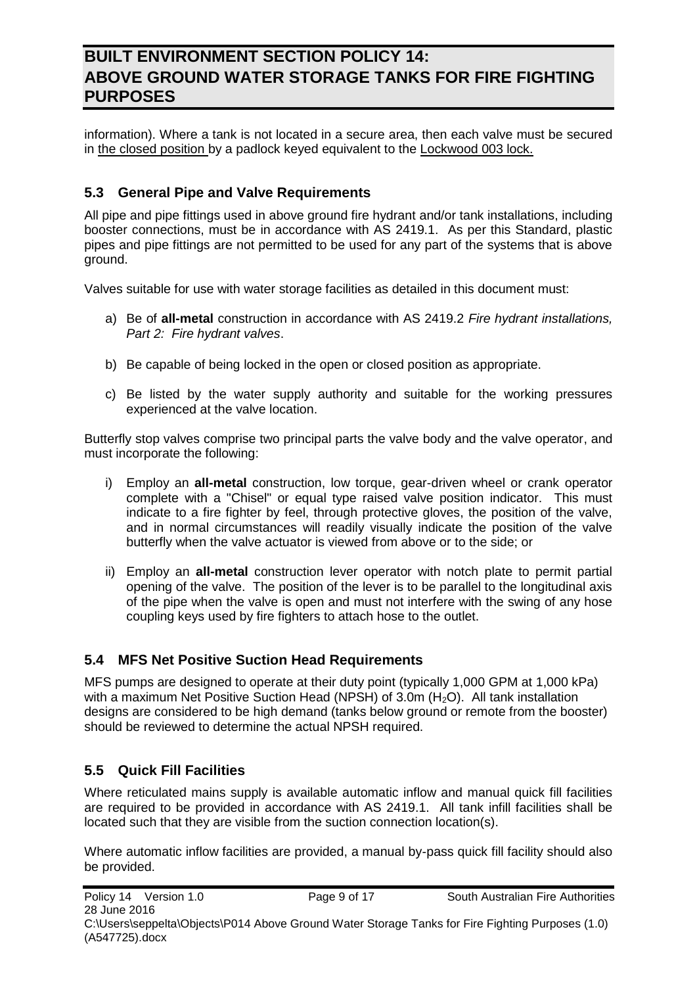information). Where a tank is not located in a secure area, then each valve must be secured in the closed position by a padlock keyed equivalent to the Lockwood 003 lock.

### <span id="page-8-0"></span>**5.3 General Pipe and Valve Requirements**

All pipe and pipe fittings used in above ground fire hydrant and/or tank installations, including booster connections, must be in accordance with AS 2419.1. As per this Standard, plastic pipes and pipe fittings are not permitted to be used for any part of the systems that is above ground.

Valves suitable for use with water storage facilities as detailed in this document must:

- a) Be of **all-metal** construction in accordance with AS 2419.2 *Fire hydrant installations, Part 2: Fire hydrant valves*.
- b) Be capable of being locked in the open or closed position as appropriate.
- c) Be listed by the water supply authority and suitable for the working pressures experienced at the valve location.

Butterfly stop valves comprise two principal parts the valve body and the valve operator, and must incorporate the following:

- i) Employ an **all-metal** construction, low torque, gear-driven wheel or crank operator complete with a "Chisel" or equal type raised valve position indicator. This must indicate to a fire fighter by feel, through protective gloves, the position of the valve, and in normal circumstances will readily visually indicate the position of the valve butterfly when the valve actuator is viewed from above or to the side; or
- ii) Employ an **all-metal** construction lever operator with notch plate to permit partial opening of the valve. The position of the lever is to be parallel to the longitudinal axis of the pipe when the valve is open and must not interfere with the swing of any hose coupling keys used by fire fighters to attach hose to the outlet.

### <span id="page-8-1"></span>**5.4 MFS Net Positive Suction Head Requirements**

MFS pumps are designed to operate at their duty point (typically 1,000 GPM at 1,000 kPa) with a maximum Net Positive Suction Head (NPSH) of  $3.0m$  (H<sub>2</sub>O). All tank installation designs are considered to be high demand (tanks below ground or remote from the booster) should be reviewed to determine the actual NPSH required.

### <span id="page-8-2"></span>**5.5 Quick Fill Facilities**

Where reticulated mains supply is available automatic inflow and manual quick fill facilities are required to be provided in accordance with AS 2419.1. All tank infill facilities shall be located such that they are visible from the suction connection location(s).

Where automatic inflow facilities are provided, a manual by-pass quick fill facility should also be provided.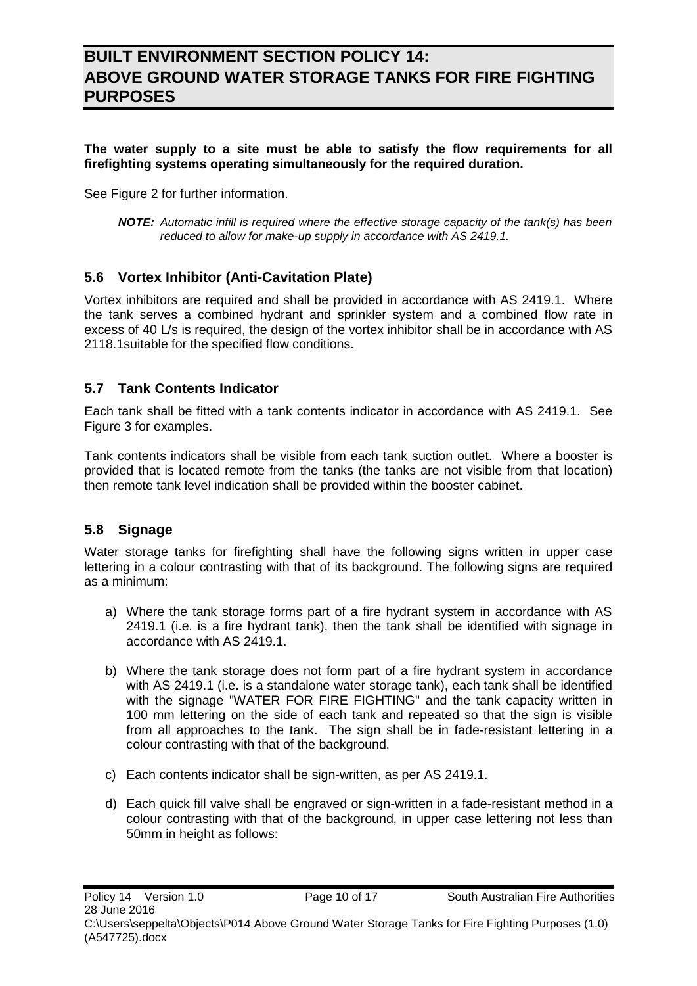**The water supply to a site must be able to satisfy the flow requirements for all firefighting systems operating simultaneously for the required duration.**

See [Figure 2](#page-13-0) for further information.

*NOTE: Automatic infill is required where the effective storage capacity of the tank(s) has been reduced to allow for make-up supply in accordance with AS 2419.1.*

### <span id="page-9-0"></span>**5.6 Vortex Inhibitor (Anti-Cavitation Plate)**

Vortex inhibitors are required and shall be provided in accordance with AS 2419.1. Where the tank serves a combined hydrant and sprinkler system and a combined flow rate in excess of 40 L/s is required, the design of the vortex inhibitor shall be in accordance with AS 2118.1suitable for the specified flow conditions.

### <span id="page-9-1"></span>**5.7 Tank Contents Indicator**

Each tank shall be fitted with a tank contents indicator in accordance with AS 2419.1. See [Figure 3](#page-14-0) for examples.

Tank contents indicators shall be visible from each tank suction outlet. Where a booster is provided that is located remote from the tanks (the tanks are not visible from that location) then remote tank level indication shall be provided within the booster cabinet.

#### <span id="page-9-2"></span>**5.8 Signage**

Water storage tanks for firefighting shall have the following signs written in upper case lettering in a colour contrasting with that of its background. The following signs are required as a minimum:

- a) Where the tank storage forms part of a fire hydrant system in accordance with AS 2419.1 (i.e. is a fire hydrant tank), then the tank shall be identified with signage in accordance with AS 2419.1.
- b) Where the tank storage does not form part of a fire hydrant system in accordance with AS 2419.1 (i.e. is a standalone water storage tank), each tank shall be identified with the signage "WATER FOR FIRE FIGHTING" and the tank capacity written in 100 mm lettering on the side of each tank and repeated so that the sign is visible from all approaches to the tank. The sign shall be in fade-resistant lettering in a colour contrasting with that of the background.
- c) Each contents indicator shall be sign-written, as per AS 2419.1.
- d) Each quick fill valve shall be engraved or sign-written in a fade-resistant method in a colour contrasting with that of the background, in upper case lettering not less than 50mm in height as follows: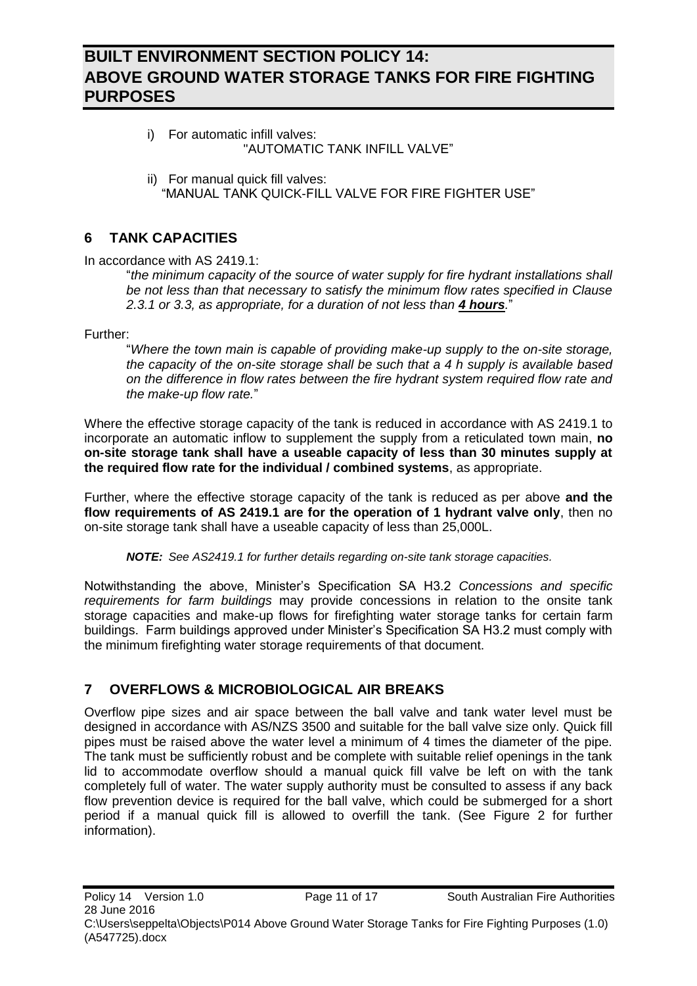- i) For automatic infill valves: "AUTOMATIC TANK INFILL VALVE"
- ii) For manual quick fill valves: "MANUAL TANK QUICK-FILL VALVE FOR FIRE FIGHTER USE"

### <span id="page-10-0"></span>**6 TANK CAPACITIES**

In accordance with AS 2419.1:

"*the minimum capacity of the source of water supply for fire hydrant installations shall be not less than that necessary to satisfy the minimum flow rates specified in Clause 2.3.1 or 3.3, as appropriate, for a duration of not less than 4 hours.*"

Further:

"*Where the town main is capable of providing make-up supply to the on-site storage, the capacity of the on-site storage shall be such that a 4 h supply is available based on the difference in flow rates between the fire hydrant system required flow rate and the make-up flow rate.*"

Where the effective storage capacity of the tank is reduced in accordance with AS 2419.1 to incorporate an automatic inflow to supplement the supply from a reticulated town main, **no on-site storage tank shall have a useable capacity of less than 30 minutes supply at the required flow rate for the individual / combined systems**, as appropriate.

Further, where the effective storage capacity of the tank is reduced as per above **and the flow requirements of AS 2419.1 are for the operation of 1 hydrant valve only**, then no on-site storage tank shall have a useable capacity of less than 25,000L.

*NOTE: See AS2419.1 for further details regarding on-site tank storage capacities.*

Notwithstanding the above, Minister's Specification SA H3.2 *Concessions and specific requirements for farm buildings* may provide concessions in relation to the onsite tank storage capacities and make-up flows for firefighting water storage tanks for certain farm buildings. Farm buildings approved under Minister's Specification SA H3.2 must comply with the minimum firefighting water storage requirements of that document.

### <span id="page-10-1"></span>**7 OVERFLOWS & MICROBIOLOGICAL AIR BREAKS**

Overflow pipe sizes and air space between the ball valve and tank water level must be designed in accordance with AS/NZS 3500 and suitable for the ball valve size only. Quick fill pipes must be raised above the water level a minimum of 4 times the diameter of the pipe. The tank must be sufficiently robust and be complete with suitable relief openings in the tank lid to accommodate overflow should a manual quick fill valve be left on with the tank completely full of water. The water supply authority must be consulted to assess if any back flow prevention device is required for the ball valve, which could be submerged for a short period if a manual quick fill is allowed to overfill the tank. (See [Figure 2](#page-13-0) for further information).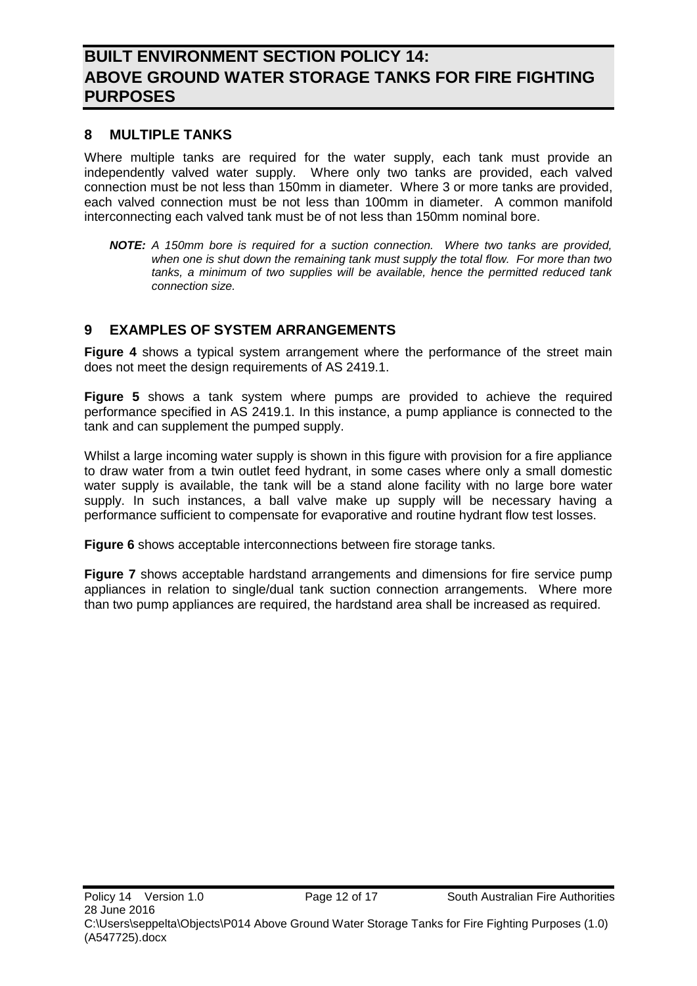### <span id="page-11-0"></span>**8 MULTIPLE TANKS**

Where multiple tanks are required for the water supply, each tank must provide an independently valved water supply. Where only two tanks are provided, each valved connection must be not less than 150mm in diameter. Where 3 or more tanks are provided, each valved connection must be not less than 100mm in diameter. A common manifold interconnecting each valved tank must be of not less than 150mm nominal bore.

*NOTE: A 150mm bore is required for a suction connection. Where two tanks are provided, when one is shut down the remaining tank must supply the total flow. For more than two tanks, a minimum of two supplies will be available, hence the permitted reduced tank connection size.* 

### <span id="page-11-1"></span>**9 EXAMPLES OF SYSTEM ARRANGEMENTS**

**[Figure 4](#page-15-0)** shows a typical system arrangement where the performance of the street main does not meet the design requirements of AS 2419.1.

**[Figure 5](#page-15-1)** shows a tank system where pumps are provided to achieve the required performance specified in AS 2419.1. In this instance, a pump appliance is connected to the tank and can supplement the pumped supply.

Whilst a large incoming water supply is shown in this figure with provision for a fire appliance to draw water from a twin outlet feed hydrant, in some cases where only a small domestic water supply is available, the tank will be a stand alone facility with no large bore water supply. In such instances, a ball valve make up supply will be necessary having a performance sufficient to compensate for evaporative and routine hydrant flow test losses.

**[Figure 6](#page-16-1)** shows acceptable interconnections between fire storage tanks.

**[Figure 7](#page-16-0)** shows acceptable hardstand arrangements and dimensions for fire service pump appliances in relation to single/dual tank suction connection arrangements. Where more than two pump appliances are required, the hardstand area shall be increased as required.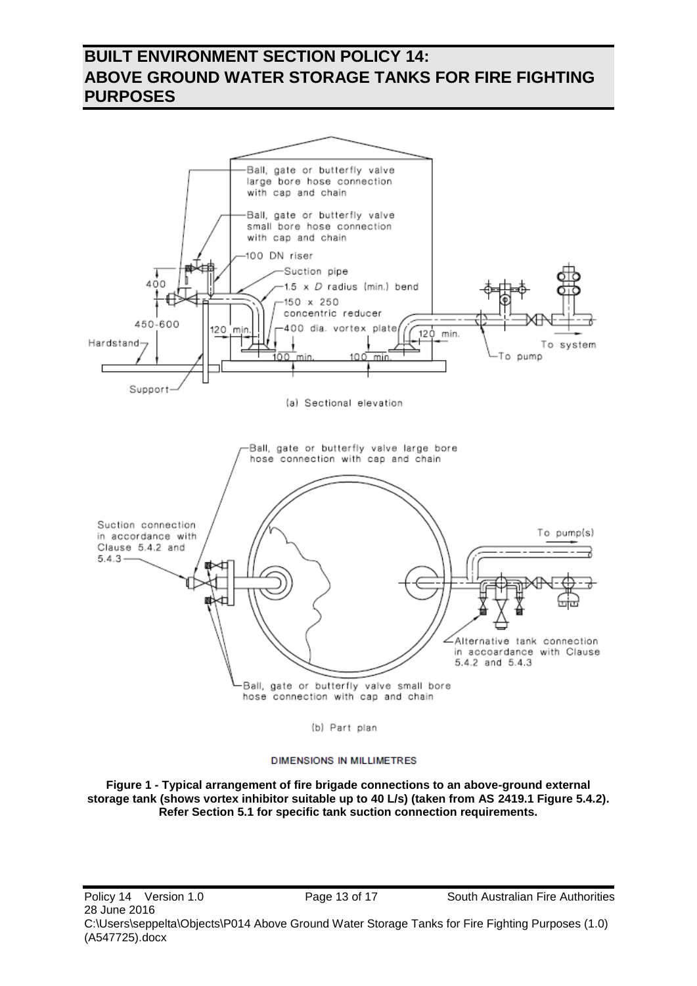

(b) Part plan

#### **DIMENSIONS IN MILLIMETRES**

<span id="page-12-0"></span>**Figure 1 - Typical arrangement of fire brigade connections to an above-ground external storage tank (shows vortex inhibitor suitable up to 40 L/s) (taken from AS 2419.1 Figure 5.4.2). Refer Section [5.1](#page-7-1) for specific tank suction connection requirements.**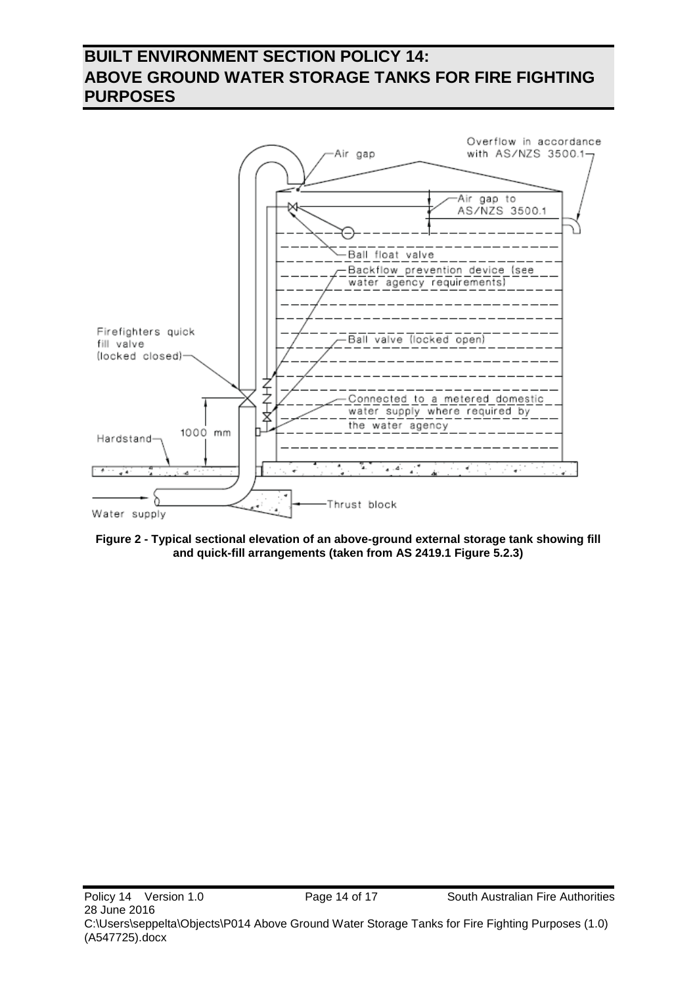

<span id="page-13-0"></span>**Figure 2 - Typical sectional elevation of an above-ground external storage tank showing fill and quick-fill arrangements (taken from AS 2419.1 Figure 5.2.3)**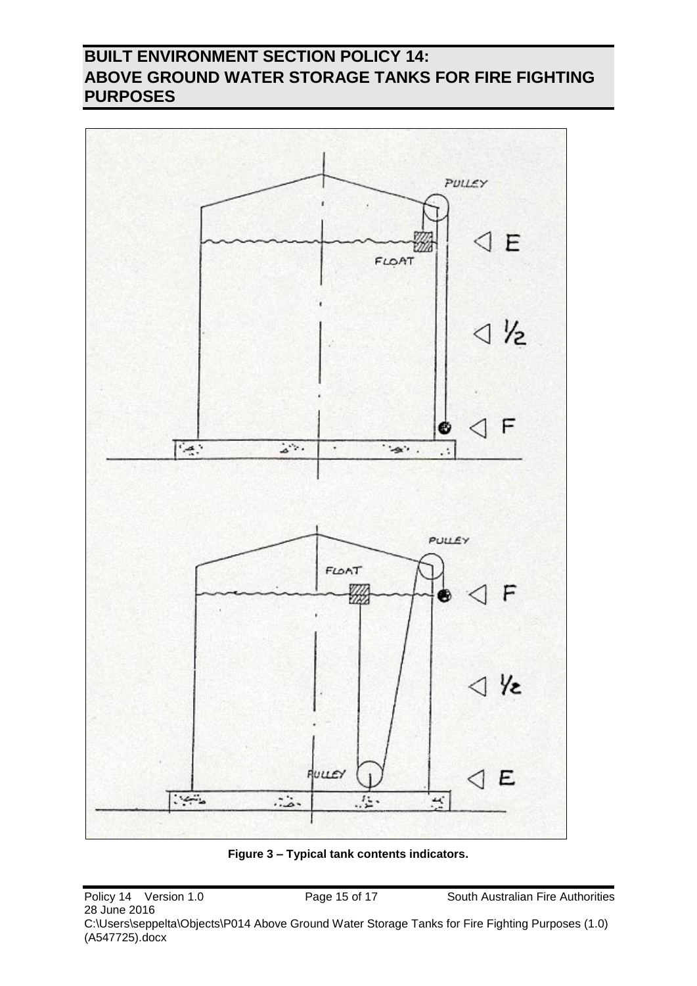

<span id="page-14-0"></span>**Figure 3 – Typical tank contents indicators.**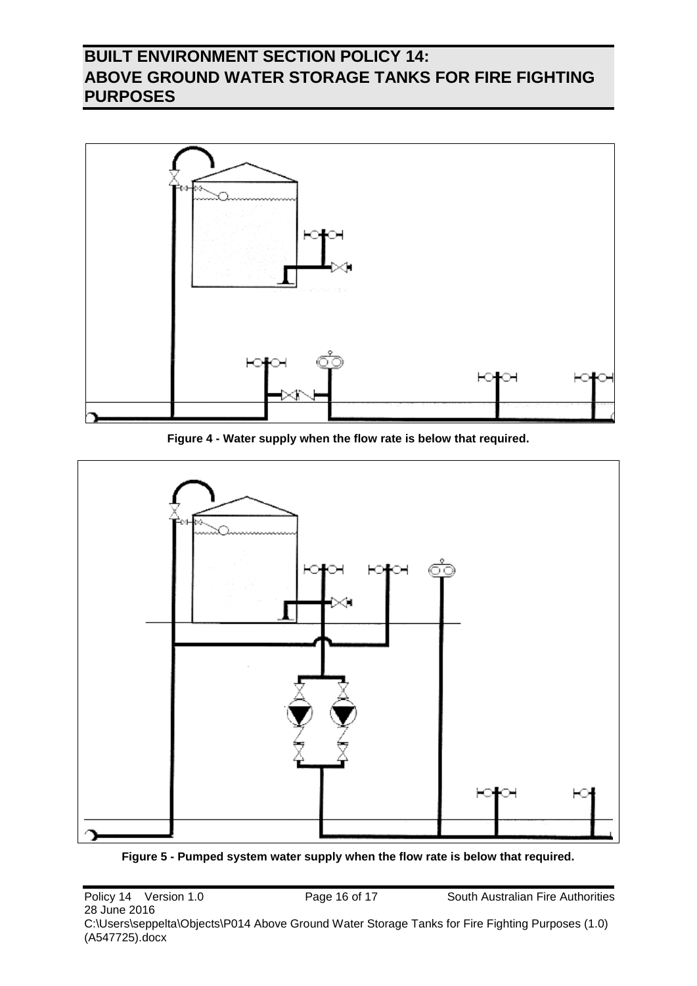

**Figure 4 - Water supply when the flow rate is below that required.**

<span id="page-15-0"></span>

<span id="page-15-1"></span>**Figure 5 - Pumped system water supply when the flow rate is below that required.**